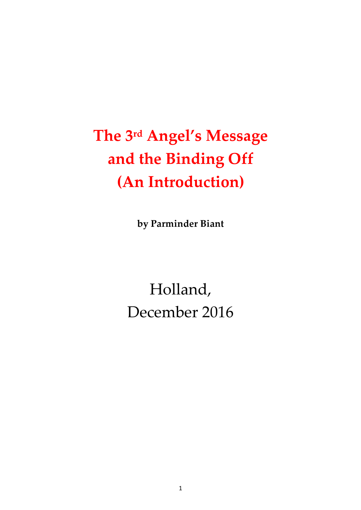# The 3rd Angel's Message and the Binding Off (An Introduction)

by Parminder Biant

Holland, December 2016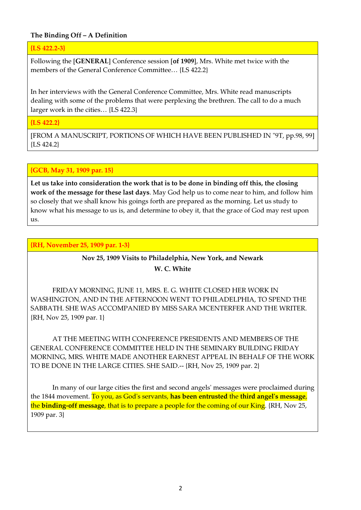# The Binding Off – A Definition

{LS 422.2-3}

Following the [GENERAL] Conference session [of 1909], Mrs. White met twice with the members of the General Conference Committee… {LS 422.2}

In her interviews with the General Conference Committee, Mrs. White read manuscripts dealing with some of the problems that were perplexing the brethren. The call to do a much larger work in the cities… {LS 422.3}

{LS 422.2}

[FROM A MANUSCRIPT, PORTIONS OF WHICH HAVE BEEN PUBLISHED IN "9T, pp.98, 99] {LS 424.2}

# {GCB, May 31, 1909 par. 15}

Let us take into consideration the work that is to be done in binding off this, the closing work of the message for these last days. May God help us to come near to him, and follow him so closely that we shall know his goings forth are prepared as the morning. Let us study to know what his message to us is, and determine to obey it, that the grace of God may rest upon us.

{RH, November 25, 1909 par. 1-3}

# Nov 25, 1909 Visits to Philadelphia, New York, and Newark W. C. White

 FRIDAY MORNING, JUNE 11, MRS. E. G. WHITE CLOSED HER WORK IN WASHINGTON, AND IN THE AFTERNOON WENT TO PHILADELPHIA, TO SPEND THE SABBATH. SHE WAS ACCOMPANIED BY MISS SARA MCENTERFER AND THE WRITER. {RH, Nov 25, 1909 par. 1}

 AT THE MEETING WITH CONFERENCE PRESIDENTS AND MEMBERS OF THE GENERAL CONFERENCE COMMITTEE HELD IN THE SEMINARY BUILDING FRIDAY MORNING, MRS. WHITE MADE ANOTHER EARNEST APPEAL IN BEHALF OF THE WORK TO BE DONE IN THE LARGE CITIES. SHE SAID.-- {RH, Nov 25, 1909 par. 2}

 In many of our large cities the first and second angels' messages were proclaimed during the 1844 movement. To you, as God's servants, has been entrusted the third angel's message, the **binding-off message**, that is to prepare a people for the coming of our King. {RH, Nov 25, 1909 par. 3}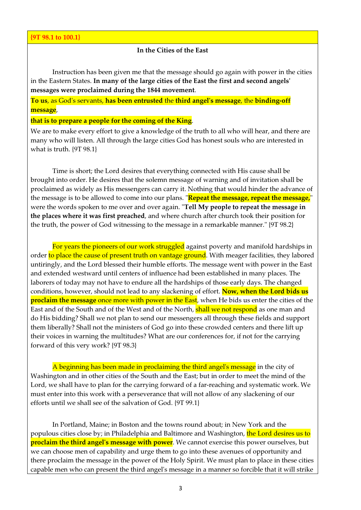## In the Cities of the East

 Instruction has been given me that the message should go again with power in the cities in the Eastern States. In many of the large cities of the East the first and second angels' messages were proclaimed during the 1844 movement.

To us, as God's servants, has been entrusted the third angel's message, the binding-off message,

#### that is to prepare a people for the coming of the King.

We are to make every effort to give a knowledge of the truth to all who will hear, and there are many who will listen. All through the large cities God has honest souls who are interested in what is truth. {9T 98.1}

 Time is short; the Lord desires that everything connected with His cause shall be brought into order. He desires that the solemn message of warning and of invitation shall be proclaimed as widely as His messengers can carry it. Nothing that would hinder the advance of the message is to be allowed to come into our plans. "Repeat the message, repeat the message," were the words spoken to me over and over again. "Tell My people to repeat the message in the places where it was first preached, and where church after church took their position for the truth, the power of God witnessing to the message in a remarkable manner." {9T 98.2}

For years the pioneers of our work struggled against poverty and manifold hardships in order to place the cause of present truth on vantage ground. With meager facilities, they labored untiringly, and the Lord blessed their humble efforts. The message went with power in the East and extended westward until centers of influence had been established in many places. The laborers of today may not have to endure all the hardships of those early days. The changed conditions, however, should not lead to any slackening of effort. Now, when the Lord bids us **proclaim the message** once more with power in the East, when He bids us enter the cities of the East and of the South and of the West and of the North, shall we not respond as one man and do His bidding? Shall we not plan to send our messengers all through these fields and support them liberally? Shall not the ministers of God go into these crowded centers and there lift up their voices in warning the multitudes? What are our conferences for, if not for the carrying forward of this very work? {9T 98.3}

 A beginning has been made in proclaiming the third angel's message in the city of Washington and in other cities of the South and the East; but in order to meet the mind of the Lord, we shall have to plan for the carrying forward of a far-reaching and systematic work. We must enter into this work with a perseverance that will not allow of any slackening of our efforts until we shall see of the salvation of God. {9T 99.1}

 In Portland, Maine; in Boston and the towns round about; in New York and the populous cities close by; in Philadelphia and Baltimore and Washington, the Lord desires us to **proclaim the third angel's message with power**. We cannot exercise this power ourselves, but we can choose men of capability and urge them to go into these avenues of opportunity and there proclaim the message in the power of the Holy Spirit. We must plan to place in these cities capable men who can present the third angel's message in a manner so forcible that it will strike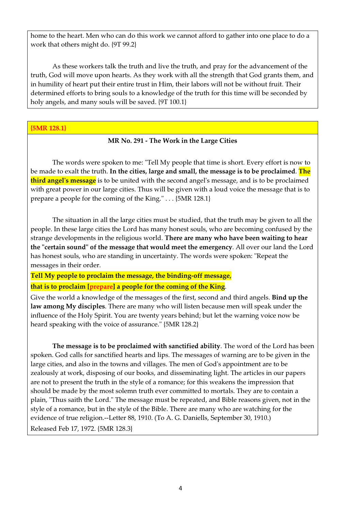home to the heart. Men who can do this work we cannot afford to gather into one place to do a work that others might do. {9T 99.2}

 As these workers talk the truth and live the truth, and pray for the advancement of the truth, God will move upon hearts. As they work with all the strength that God grants them, and in humility of heart put their entire trust in Him, their labors will not be without fruit. Their determined efforts to bring souls to a knowledge of the truth for this time will be seconded by holy angels, and many souls will be saved. {9T 100.1}

## {5MR 128.1}

# MR No. 291 - The Work in the Large Cities

 The words were spoken to me: "Tell My people that time is short. Every effort is now to be made to exalt the truth. In the cities, large and small, the message is to be proclaimed. The third angel's message is to be united with the second angel's message, and is to be proclaimed with great power in our large cities. Thus will be given with a loud voice the message that is to prepare a people for the coming of the King." . . . {5MR 128.1}

 The situation in all the large cities must be studied, that the truth may be given to all the people. In these large cities the Lord has many honest souls, who are becoming confused by the strange developments in the religious world. There are many who have been waiting to hear the "certain sound" of the message that would meet the emergency. All over our land the Lord has honest souls, who are standing in uncertainty. The words were spoken: "Repeat the messages in their order.

# Tell My people to proclaim the message, the binding-off message, that is to proclaim [prepare] a people for the coming of the King.

Give the world a knowledge of the messages of the first, second and third angels. **Bind up the** law among My disciples. There are many who will listen because men will speak under the influence of the Holy Spirit. You are twenty years behind; but let the warning voice now be heard speaking with the voice of assurance." {5MR 128.2}

The message is to be proclaimed with sanctified ability. The word of the Lord has been spoken. God calls for sanctified hearts and lips. The messages of warning are to be given in the large cities, and also in the towns and villages. The men of God's appointment are to be zealously at work, disposing of our books, and disseminating light. The articles in our papers are not to present the truth in the style of a romance; for this weakens the impression that should be made by the most solemn truth ever committed to mortals. They are to contain a plain, "Thus saith the Lord." The message must be repeated, and Bible reasons given, not in the style of a romance, but in the style of the Bible. There are many who are watching for the evidence of true religion.--Letter 88, 1910. (To A. G. Daniells, September 30, 1910.)

Released Feb 17, 1972. {5MR 128.3}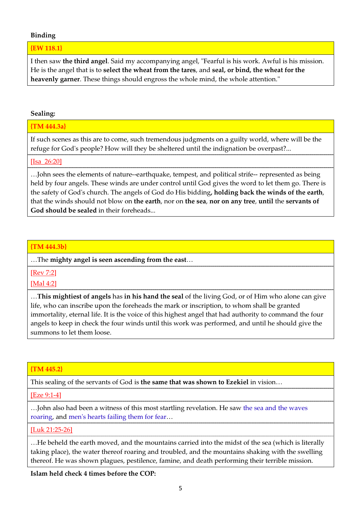## Binding

{EW 118.1}

I then saw the third angel. Said my accompanying angel, "Fearful is his work. Awful is his mission. He is the angel that is to select the wheat from the tares, and seal, or bind, the wheat for the heavenly garner. These things should engross the whole mind, the whole attention."

## Sealing:

## {TM 444.3a}

If such scenes as this are to come, such tremendous judgments on a guilty world, where will be the refuge for God's people? How will they be sheltered until the indignation be overpast?...

#### [Isa\_26:20]

…John sees the elements of nature--earthquake, tempest, and political strife-- represented as being held by four angels. These winds are under control until God gives the word to let them go. There is the safety of God's church. The angels of God do His bidding, holding back the winds of the earth, that the winds should not blow on the earth, nor on the sea, nor on any tree, until the servants of God should be sealed in their foreheads...

## {TM 444.3b}

…The mighty angel is seen ascending from the east…

[Rev 7:2]

[Mal 4:2]

…This mightiest of angels has in his hand the seal of the living God, or of Him who alone can give life, who can inscribe upon the foreheads the mark or inscription, to whom shall be granted immortality, eternal life. It is the voice of this highest angel that had authority to command the four angels to keep in check the four winds until this work was performed, and until he should give the summons to let them loose.

## {TM 445.2}

This sealing of the servants of God is the same that was shown to Ezekiel in vision...

[Eze 9:1-4]

…John also had been a witness of this most startling revelation. He saw the sea and the waves roaring, and men's hearts failing them for fear…

## [Luk 21:25-26]

…He beheld the earth moved, and the mountains carried into the midst of the sea (which is literally taking place), the water thereof roaring and troubled, and the mountains shaking with the swelling thereof. He was shown plagues, pestilence, famine, and death performing their terrible mission.

Islam held check 4 times before the COP: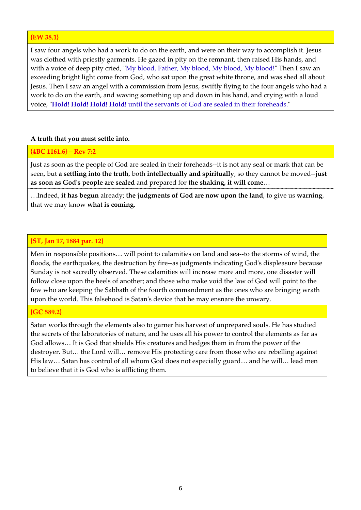## {EW 38.1}

I saw four angels who had a work to do on the earth, and were on their way to accomplish it. Jesus was clothed with priestly garments. He gazed in pity on the remnant, then raised His hands, and with a voice of deep pity cried, "My blood, Father, My blood, My blood, My blood!" Then I saw an exceeding bright light come from God, who sat upon the great white throne, and was shed all about Jesus. Then I saw an angel with a commission from Jesus, swiftly flying to the four angels who had a work to do on the earth, and waving something up and down in his hand, and crying with a loud voice, "Hold! Hold! Hold! Hold! until the servants of God are sealed in their foreheads."

#### A truth that you must settle into.

#### {4BC 1161.6} – Rev 7:2

Just as soon as the people of God are sealed in their foreheads--it is not any seal or mark that can be seen, but a settling into the truth, both intellectually and spiritually, so they cannot be moved--just as soon as God's people are sealed and prepared for the shaking, it will come…

…Indeed, it has begun already; the judgments of God are now upon the land, to give us warning, that we may know what is coming.

## {ST, Jan 17, 1884 par. 12}

Men in responsible positions… will point to calamities on land and sea--to the storms of wind, the floods, the earthquakes, the destruction by fire--as judgments indicating God's displeasure because Sunday is not sacredly observed. These calamities will increase more and more, one disaster will follow close upon the heels of another; and those who make void the law of God will point to the few who are keeping the Sabbath of the fourth commandment as the ones who are bringing wrath upon the world. This falsehood is Satan's device that he may ensnare the unwary.

#### {GC 589.2}

Satan works through the elements also to garner his harvest of unprepared souls. He has studied the secrets of the laboratories of nature, and he uses all his power to control the elements as far as God allows… It is God that shields His creatures and hedges them in from the power of the destroyer. But… the Lord will… remove His protecting care from those who are rebelling against His law… Satan has control of all whom God does not especially guard… and he will… lead men to believe that it is God who is afflicting them.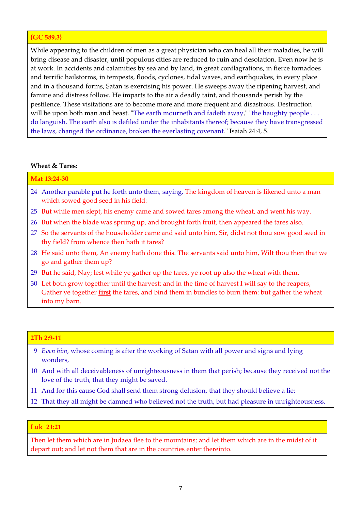## {GC 589.3}

While appearing to the children of men as a great physician who can heal all their maladies, he will bring disease and disaster, until populous cities are reduced to ruin and desolation. Even now he is at work. In accidents and calamities by sea and by land, in great conflagrations, in fierce tornadoes and terrific hailstorms, in tempests, floods, cyclones, tidal waves, and earthquakes, in every place and in a thousand forms, Satan is exercising his power. He sweeps away the ripening harvest, and famine and distress follow. He imparts to the air a deadly taint, and thousands perish by the pestilence. These visitations are to become more and more frequent and disastrous. Destruction will be upon both man and beast. "The earth mourneth and fadeth away," "the haughty people . . . do languish. The earth also is defiled under the inhabitants thereof; because they have transgressed the laws, changed the ordinance, broken the everlasting covenant." Isaiah 24:4, 5.

#### Wheat & Tares:

| Mat 13:24-30 |                                                                                                                                                                                                       |  |
|--------------|-------------------------------------------------------------------------------------------------------------------------------------------------------------------------------------------------------|--|
|              | 24 Another parable put he forth unto them, saying, The kingdom of heaven is likened unto a man<br>which sowed good seed in his field:                                                                 |  |
|              | 25 But while men slept, his enemy came and sowed tares among the wheat, and went his way.                                                                                                             |  |
|              | 26 But when the blade was sprung up, and brought forth fruit, then appeared the tares also.                                                                                                           |  |
|              | 27 So the servants of the householder came and said unto him, Sir, didst not thou sow good seed in<br>thy field? from whence then hath it tares?                                                      |  |
|              | 28 He said unto them, An enemy hath done this. The servants said unto him, Wilt thou then that we<br>go and gather them up?                                                                           |  |
|              | 29 But he said, Nay; lest while ye gather up the tares, ye root up also the wheat with them.                                                                                                          |  |
|              | 30 Let both grow together until the harvest: and in the time of harvest I will say to the reapers,<br>Gather ye together first the tares, and bind them in bundles to burn them: but gather the wheat |  |

into my barn.

## 2Th 2:9-11

- 9 Even him, whose coming is after the working of Satan with all power and signs and lying wonders,
- 10 And with all deceivableness of unrighteousness in them that perish; because they received not the love of the truth, that they might be saved.
- 11 And for this cause God shall send them strong delusion, that they should believe a lie:
- 12 That they all might be damned who believed not the truth, but had pleasure in unrighteousness.

#### Luk\_21:21

Then let them which are in Judaea flee to the mountains; and let them which are in the midst of it depart out; and let not them that are in the countries enter thereinto.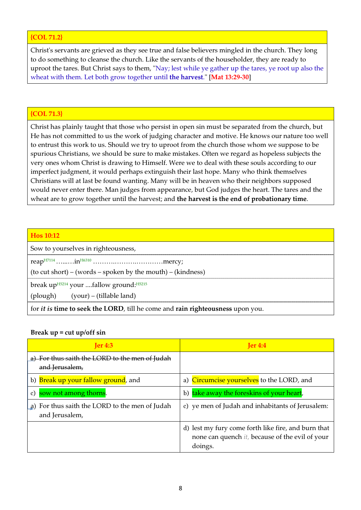# {COL 71.2}

Christ's servants are grieved as they see true and false believers mingled in the church. They long to do something to cleanse the church. Like the servants of the householder, they are ready to uproot the tares. But Christ says to them, "Nay; lest while ye gather up the tares, ye root up also the wheat with them. Let both grow together until the harvest." [Mat 13:29-30]

## {COL 71.3}

Christ has plainly taught that those who persist in open sin must be separated from the church, but He has not committed to us the work of judging character and motive. He knows our nature too well to entrust this work to us. Should we try to uproot from the church those whom we suppose to be spurious Christians, we should be sure to make mistakes. Often we regard as hopeless subjects the very ones whom Christ is drawing to Himself. Were we to deal with these souls according to our imperfect judgment, it would perhaps extinguish their last hope. Many who think themselves Christians will at last be found wanting. Many will be in heaven who their neighbors supposed would never enter there. Man judges from appearance, but God judges the heart. The tares and the wheat are to grow together until the harvest; and the harvest is the end of probationary time.

#### Hos 10:12

Sow to yourselves in righteousness,

reap $H7114$  ………..in $H6310$  …………………………………mercy;

(to cut short) – (words – spoken by the mouth) – (kindness)

break up $^{H5214}$  your ....fallow ground: $^{H5215}$ 

(plough) (your) – (tillable land)

for *it is* time to seek the LORD, till he come and rain righteousness upon you.

## Break  $up = cut up/off \sin$

| Jer 4:3                                                             | Ier 4:4                                                                                                                   |
|---------------------------------------------------------------------|---------------------------------------------------------------------------------------------------------------------------|
| For thus saith the LORD to the men of Judah<br>and Jerusalem,       |                                                                                                                           |
| b) Break up your fallow ground, and                                 | a) Circumcise yourselves to the LORD, and                                                                                 |
| sow not among thorns.<br>c)                                         | take away the foreskins of your heart,<br>b)                                                                              |
| For thus saith the LORD to the men of Judah<br>a)<br>and Jerusalem, | c) ye men of Judah and inhabitants of Jerusalem:                                                                          |
|                                                                     | d) lest my fury come forth like fire, and burn that<br>none can quench <i>it</i> , because of the evil of your<br>doings. |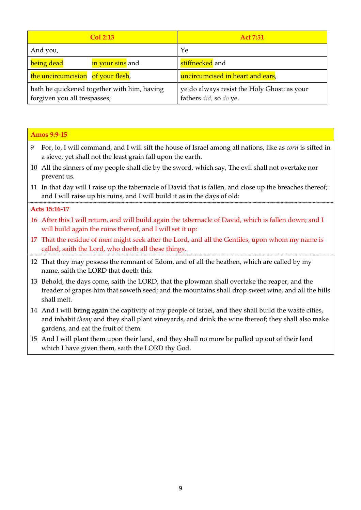| Col 2:13                                                                    | <b>Act 7:51</b>                                                       |
|-----------------------------------------------------------------------------|-----------------------------------------------------------------------|
| And you,                                                                    | Ye                                                                    |
| being dead<br>in your sins and                                              | stiffnecked and                                                       |
| the uncircumcision of your flesh,                                           | uncircumcised in heart and ears,                                      |
| hath he quickened together with him, having<br>forgiven you all trespasses; | ye do always resist the Holy Ghost: as your<br>fathers did, so do ye. |

| <b>Amos 9:9-15</b> |                                                                                                                                                                                                                                                     |  |  |
|--------------------|-----------------------------------------------------------------------------------------------------------------------------------------------------------------------------------------------------------------------------------------------------|--|--|
| 9                  | For, lo, I will command, and I will sift the house of Israel among all nations, like as <i>corn</i> is sifted in<br>a sieve, yet shall not the least grain fall upon the earth.                                                                     |  |  |
|                    | 10 All the sinners of my people shall die by the sword, which say, The evil shall not overtake nor<br>prevent us.                                                                                                                                   |  |  |
|                    | 11 In that day will I raise up the tabernacle of David that is fallen, and close up the breaches thereof;<br>and I will raise up his ruins, and I will build it as in the days of old:                                                              |  |  |
| Acts 15:16-17      |                                                                                                                                                                                                                                                     |  |  |
|                    | 16 After this I will return, and will build again the tabernacle of David, which is fallen down; and I<br>will build again the ruins thereof, and I will set it up:                                                                                 |  |  |
|                    | 17 That the residue of men might seek after the Lord, and all the Gentiles, upon whom my name is<br>called, saith the Lord, who doeth all these things.                                                                                             |  |  |
|                    | 12 That they may possess the remnant of Edom, and of all the heathen, which are called by my<br>name, saith the LORD that doeth this.                                                                                                               |  |  |
|                    | 13 Behold, the days come, saith the LORD, that the plowman shall overtake the reaper, and the<br>treader of grapes him that soweth seed; and the mountains shall drop sweet wine, and all the hills<br>shall melt.                                  |  |  |
|                    | 14 And I will bring again the captivity of my people of Israel, and they shall build the waste cities,<br>and inhabit them; and they shall plant vineyards, and drink the wine thereof; they shall also make<br>gardens, and eat the fruit of them. |  |  |
|                    | 15 And I will plant them upon their land, and they shall no more be pulled up out of their land                                                                                                                                                     |  |  |

And I will plant them upon their land, and they shall no more be pulled up out of their land which I have given them, saith the LORD thy God.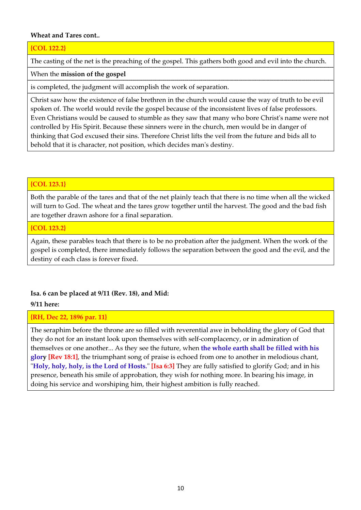## Wheat and Tares cont..

## {COL 122.2}

The casting of the net is the preaching of the gospel. This gathers both good and evil into the church.

When the mission of the gospel

is completed, the judgment will accomplish the work of separation.

Christ saw how the existence of false brethren in the church would cause the way of truth to be evil spoken of. The world would revile the gospel because of the inconsistent lives of false professors. Even Christians would be caused to stumble as they saw that many who bore Christ's name were not controlled by His Spirit. Because these sinners were in the church, men would be in danger of thinking that God excused their sins. Therefore Christ lifts the veil from the future and bids all to behold that it is character, not position, which decides man's destiny.

# {COL 123.1}

Both the parable of the tares and that of the net plainly teach that there is no time when all the wicked will turn to God. The wheat and the tares grow together until the harvest. The good and the bad fish are together drawn ashore for a final separation.

## {COL 123.2}

Again, these parables teach that there is to be no probation after the judgment. When the work of the gospel is completed, there immediately follows the separation between the good and the evil, and the destiny of each class is forever fixed.

## Isa. 6 can be placed at 9/11 (Rev. 18), and Mid:

## 9/11 here:

## {RH, Dec 22, 1896 par. 11}

The seraphim before the throne are so filled with reverential awe in beholding the glory of God that they do not for an instant look upon themselves with self-complacency, or in admiration of themselves or one another... As they see the future, when the whole earth shall be filled with his glory [Rev 18:1], the triumphant song of praise is echoed from one to another in melodious chant, "Holy, holy, holy, is the Lord of Hosts." [Isa 6:3] They are fully satisfied to glorify God; and in his presence, beneath his smile of approbation, they wish for nothing more. In bearing his image, in doing his service and worshiping him, their highest ambition is fully reached.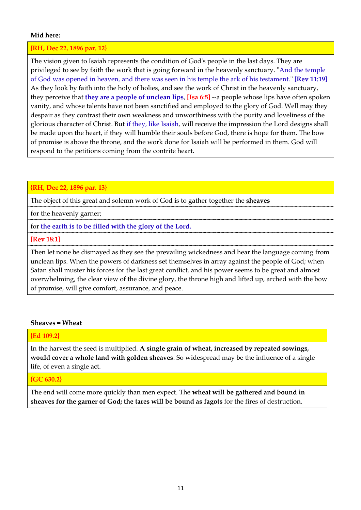## Mid here:

#### {RH, Dec 22, 1896 par. 12}

The vision given to Isaiah represents the condition of God's people in the last days. They are privileged to see by faith the work that is going forward in the heavenly sanctuary. "And the temple of God was opened in heaven, and there was seen in his temple the ark of his testament." [Rev 11:19] As they look by faith into the holy of holies, and see the work of Christ in the heavenly sanctuary, they perceive that they are a people of unclean lips, [Isa 6:5] --a people whose lips have often spoken vanity, and whose talents have not been sanctified and employed to the glory of God. Well may they despair as they contrast their own weakness and unworthiness with the purity and loveliness of the glorious character of Christ. But if they, like Isaiah, will receive the impression the Lord designs shall be made upon the heart, if they will humble their souls before God, there is hope for them. The bow of promise is above the throne, and the work done for Isaiah will be performed in them. God will respond to the petitions coming from the contrite heart.

#### {RH, Dec 22, 1896 par. 13}

The object of this great and solemn work of God is to gather together the **sheaves** 

for the heavenly garner;

# for the earth is to be filled with the glory of the Lord.

## [Rev 18:1]

Then let none be dismayed as they see the prevailing wickedness and hear the language coming from unclean lips. When the powers of darkness set themselves in array against the people of God; when Satan shall muster his forces for the last great conflict, and his power seems to be great and almost overwhelming, the clear view of the divine glory, the throne high and lifted up, arched with the bow of promise, will give comfort, assurance, and peace.

#### Sheaves = Wheat

## {Ed 109.2}

In the harvest the seed is multiplied. A single grain of wheat, increased by repeated sowings, would cover a whole land with golden sheaves. So widespread may be the influence of a single life, of even a single act.

#### {GC 630.2}

The end will come more quickly than men expect. The wheat will be gathered and bound in sheaves for the garner of God; the tares will be bound as fagots for the fires of destruction.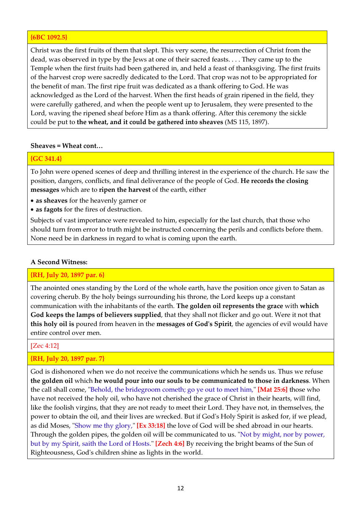## {6BC 1092.5}

Christ was the first fruits of them that slept. This very scene, the resurrection of Christ from the dead, was observed in type by the Jews at one of their sacred feasts. . . . They came up to the Temple when the first fruits had been gathered in, and held a feast of thanksgiving. The first fruits of the harvest crop were sacredly dedicated to the Lord. That crop was not to be appropriated for the benefit of man. The first ripe fruit was dedicated as a thank offering to God. He was acknowledged as the Lord of the harvest. When the first heads of grain ripened in the field, they were carefully gathered, and when the people went up to Jerusalem, they were presented to the Lord, waving the ripened sheaf before Him as a thank offering. After this ceremony the sickle could be put to the wheat, and it could be gathered into sheaves (MS 115, 1897).

## Sheaves = Wheat cont…

## {GC 341.4}

To John were opened scenes of deep and thrilling interest in the experience of the church. He saw the position, dangers, conflicts, and final deliverance of the people of God. He records the closing messages which are to ripen the harvest of the earth, either

- as sheaves for the heavenly garner or
- as fagots for the fires of destruction.

Subjects of vast importance were revealed to him, especially for the last church, that those who should turn from error to truth might be instructed concerning the perils and conflicts before them. None need be in darkness in regard to what is coming upon the earth.

## A Second Witness:

# {RH, July 20, 1897 par. 6}

The anointed ones standing by the Lord of the whole earth, have the position once given to Satan as covering cherub. By the holy beings surrounding his throne, the Lord keeps up a constant communication with the inhabitants of the earth. The golden oil represents the grace with which God keeps the lamps of believers supplied, that they shall not flicker and go out. Were it not that this holy oil is poured from heaven in the messages of God's Spirit, the agencies of evil would have entire control over men.

## [Zec 4:12]

# {RH, July 20, 1897 par. 7}

God is dishonored when we do not receive the communications which he sends us. Thus we refuse the golden oil which he would pour into our souls to be communicated to those in darkness. When the call shall come, "Behold, the bridegroom cometh; go ye out to meet him," [Mat 25:6] those who have not received the holy oil, who have not cherished the grace of Christ in their hearts, will find, like the foolish virgins, that they are not ready to meet their Lord. They have not, in themselves, the power to obtain the oil, and their lives are wrecked. But if God's Holy Spirit is asked for, if we plead, as did Moses, "Show me thy glory," [Ex 33:18] the love of God will be shed abroad in our hearts. Through the golden pipes, the golden oil will be communicated to us. "Not by might, nor by power, but by my Spirit, saith the Lord of Hosts." **[Zech 4:6]** By receiving the bright beams of the Sun of Righteousness, God's children shine as lights in the world.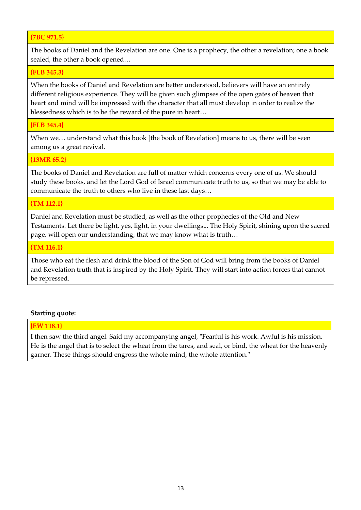# {7BC 971.5}

The books of Daniel and the Revelation are one. One is a prophecy, the other a revelation; one a book sealed, the other a book opened…

## {FLB 345.3}

When the books of Daniel and Revelation are better understood, believers will have an entirely different religious experience. They will be given such glimpses of the open gates of heaven that heart and mind will be impressed with the character that all must develop in order to realize the blessedness which is to be the reward of the pure in heart…

## {FLB 345.4}

When we... understand what this book [the book of Revelation] means to us, there will be seen among us a great revival.

#### {13MR 65.2}

The books of Daniel and Revelation are full of matter which concerns every one of us. We should study these books, and let the Lord God of Israel communicate truth to us, so that we may be able to communicate the truth to others who live in these last days…

## {TM 112.1}

Daniel and Revelation must be studied, as well as the other prophecies of the Old and New Testaments. Let there be light, yes, light, in your dwellings... The Holy Spirit, shining upon the sacred page, will open our understanding, that we may know what is truth…

#### {TM 116.1}

Those who eat the flesh and drink the blood of the Son of God will bring from the books of Daniel and Revelation truth that is inspired by the Holy Spirit. They will start into action forces that cannot be repressed.

## Starting quote:

## {EW 118.1}

I then saw the third angel. Said my accompanying angel, "Fearful is his work. Awful is his mission. He is the angel that is to select the wheat from the tares, and seal, or bind, the wheat for the heavenly garner. These things should engross the whole mind, the whole attention."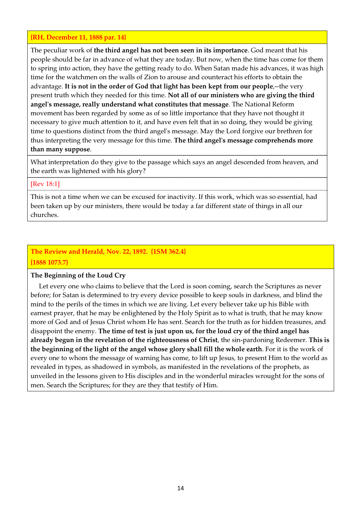## {RH, December 11, 1888 par. 14}

The peculiar work of the third angel has not been seen in its importance. God meant that his people should be far in advance of what they are today. But now, when the time has come for them to spring into action, they have the getting ready to do. When Satan made his advances, it was high time for the watchmen on the walls of Zion to arouse and counteract his efforts to obtain the advantage. It is not in the order of God that light has been kept from our people,--the very present truth which they needed for this time. Not all of our ministers who are giving the third angel's message, really understand what constitutes that message. The National Reform movement has been regarded by some as of so little importance that they have not thought it necessary to give much attention to it, and have even felt that in so doing, they would be giving time to questions distinct from the third angel's message. May the Lord forgive our brethren for thus interpreting the very message for this time. The third angel's message comprehends more than many suppose.

What interpretation do they give to the passage which says an angel descended from heaven, and the earth was lightened with his glory?

## [Rev 18:1]

This is not a time when we can be excused for inactivity. If this work, which was so essential, had been taken up by our ministers, there would be today a far different state of things in all our churches.

# The Review and Herald, Nov. 22, 1892. {1SM 362.4} {1888 1073.7}

## The Beginning of the Loud Cry

 Let every one who claims to believe that the Lord is soon coming, search the Scriptures as never before; for Satan is determined to try every device possible to keep souls in darkness, and blind the mind to the perils of the times in which we are living. Let every believer take up his Bible with earnest prayer, that he may be enlightened by the Holy Spirit as to what is truth, that he may know more of God and of Jesus Christ whom He has sent. Search for the truth as for hidden treasures, and disappoint the enemy. The time of test is just upon us, for the loud cry of the third angel has already begun in the revelation of the righteousness of Christ, the sin-pardoning Redeemer. This is the beginning of the light of the angel whose glory shall fill the whole earth. For it is the work of every one to whom the message of warning has come, to lift up Jesus, to present Him to the world as revealed in types, as shadowed in symbols, as manifested in the revelations of the prophets, as unveiled in the lessons given to His disciples and in the wonderful miracles wrought for the sons of men. Search the Scriptures; for they are they that testify of Him.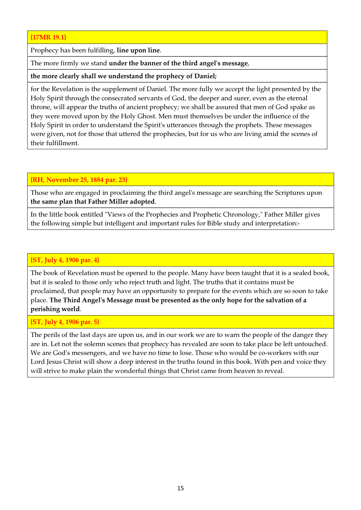# {17MR 19.1}

Prophecy has been fulfilling, line upon line.

The more firmly we stand under the banner of the third angel's message,

the more clearly shall we understand the prophecy of Daniel;

for the Revelation is the supplement of Daniel. The more fully we accept the light presented by the Holy Spirit through the consecrated servants of God, the deeper and surer, even as the eternal throne, will appear the truths of ancient prophecy; we shall be assured that men of God spake as they were moved upon by the Holy Ghost. Men must themselves be under the influence of the Holy Spirit in order to understand the Spirit's utterances through the prophets. These messages were given, not for those that uttered the prophecies, but for us who are living amid the scenes of their fulfillment.

# {RH, November 25, 1884 par. 23}

Those who are engaged in proclaiming the third angel's message are searching the Scriptures upon the same plan that Father Miller adopted.

In the little book entitled "Views of the Prophecies and Prophetic Chronology," Father Miller gives the following simple but intelligent and important rules for Bible study and interpretation:-

# {ST, July 4, 1906 par. 4}

The book of Revelation must be opened to the people. Many have been taught that it is a sealed book, but it is sealed to those only who reject truth and light. The truths that it contains must be proclaimed, that people may have an opportunity to prepare for the events which are so soon to take place. The Third Angel's Message must be presented as the only hope for the salvation of a perishing world.

# {ST, July 4, 1906 par. 5}

The perils of the last days are upon us, and in our work we are to warn the people of the danger they are in. Let not the solemn scenes that prophecy has revealed are soon to take place be left untouched. We are God's messengers, and we have no time to lose. Those who would be co-workers with our Lord Jesus Christ will show a deep interest in the truths found in this book. With pen and voice they will strive to make plain the wonderful things that Christ came from heaven to reveal.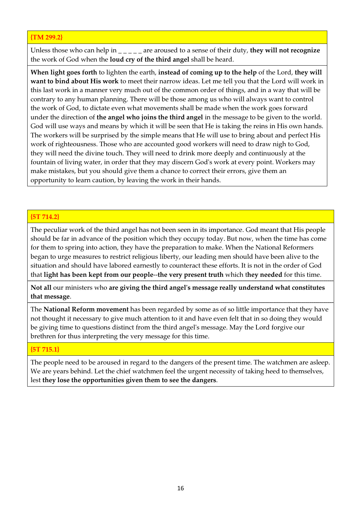## {TM 299.2}

Unless those who can help in  $\angle$   $\angle$   $\angle$   $\angle$  are aroused to a sense of their duty, they will not recognize the work of God when the loud cry of the third angel shall be heard.

When light goes forth to lighten the earth, instead of coming up to the help of the Lord, they will want to bind about His work to meet their narrow ideas. Let me tell you that the Lord will work in this last work in a manner very much out of the common order of things, and in a way that will be contrary to any human planning. There will be those among us who will always want to control the work of God, to dictate even what movements shall be made when the work goes forward under the direction of the angel who joins the third angel in the message to be given to the world. God will use ways and means by which it will be seen that He is taking the reins in His own hands. The workers will be surprised by the simple means that He will use to bring about and perfect His work of righteousness. Those who are accounted good workers will need to draw nigh to God, they will need the divine touch. They will need to drink more deeply and continuously at the fountain of living water, in order that they may discern God's work at every point. Workers may make mistakes, but you should give them a chance to correct their errors, give them an opportunity to learn caution, by leaving the work in their hands.

## {5T 714.2}

The peculiar work of the third angel has not been seen in its importance. God meant that His people should be far in advance of the position which they occupy today. But now, when the time has come for them to spring into action, they have the preparation to make. When the National Reformers began to urge measures to restrict religious liberty, our leading men should have been alive to the situation and should have labored earnestly to counteract these efforts. It is not in the order of God that light has been kept from our people--the very present truth which they needed for this time.

Not all our ministers who are giving the third angel's message really understand what constitutes that message.

The National Reform movement has been regarded by some as of so little importance that they have not thought it necessary to give much attention to it and have even felt that in so doing they would be giving time to questions distinct from the third angel's message. May the Lord forgive our brethren for thus interpreting the very message for this time.

# {5T 715.1}

The people need to be aroused in regard to the dangers of the present time. The watchmen are asleep. We are years behind. Let the chief watchmen feel the urgent necessity of taking heed to themselves, lest they lose the opportunities given them to see the dangers.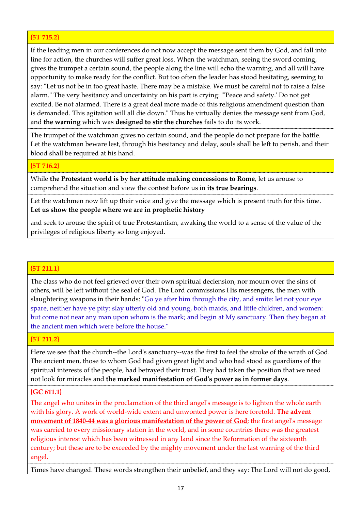# {5T 715.2}

If the leading men in our conferences do not now accept the message sent them by God, and fall into line for action, the churches will suffer great loss. When the watchman, seeing the sword coming, gives the trumpet a certain sound, the people along the line will echo the warning, and all will have opportunity to make ready for the conflict. But too often the leader has stood hesitating, seeming to say: "Let us not be in too great haste. There may be a mistake. We must be careful not to raise a false alarm." The very hesitancy and uncertainty on his part is crying: "'Peace and safety.' Do not get excited. Be not alarmed. There is a great deal more made of this religious amendment question than is demanded. This agitation will all die down." Thus he virtually denies the message sent from God, and the warning which was designed to stir the churches fails to do its work.

The trumpet of the watchman gives no certain sound, and the people do not prepare for the battle. Let the watchman beware lest, through his hesitancy and delay, souls shall be left to perish, and their blood shall be required at his hand.

#### {5T 716.2}

While the Protestant world is by her attitude making concessions to Rome, let us arouse to comprehend the situation and view the contest before us in its true bearings.

Let the watchmen now lift up their voice and give the message which is present truth for this time. Let us show the people where we are in prophetic history

and seek to arouse the spirit of true Protestantism, awaking the world to a sense of the value of the privileges of religious liberty so long enjoyed.

# {5T 211.1}

The class who do not feel grieved over their own spiritual declension, nor mourn over the sins of others, will be left without the seal of God. The Lord commissions His messengers, the men with slaughtering weapons in their hands: "Go ye after him through the city, and smite: let not your eye spare, neither have ye pity: slay utterly old and young, both maids, and little children, and women: but come not near any man upon whom is the mark; and begin at My sanctuary. Then they began at the ancient men which were before the house."

#### {5T 211.2}

Here we see that the church--the Lord's sanctuary--was the first to feel the stroke of the wrath of God. The ancient men, those to whom God had given great light and who had stood as guardians of the spiritual interests of the people, had betrayed their trust. They had taken the position that we need not look for miracles and the marked manifestation of God's power as in former days.

## {GC 611.1}

The angel who unites in the proclamation of the third angel's message is to lighten the whole earth with his glory. A work of world-wide extent and unwonted power is here foretold. The advent movement of 1840-44 was a glorious manifestation of the power of God; the first angel's message was carried to every missionary station in the world, and in some countries there was the greatest religious interest which has been witnessed in any land since the Reformation of the sixteenth century; but these are to be exceeded by the mighty movement under the last warning of the third angel.

Times have changed. These words strengthen their unbelief, and they say: The Lord will not do good,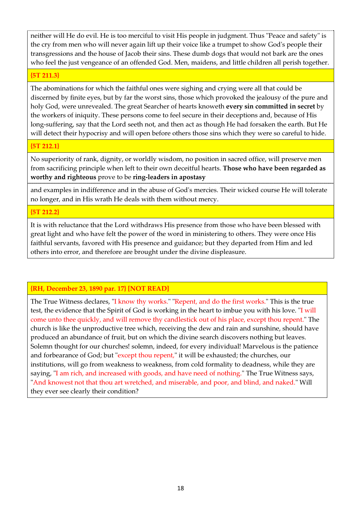neither will He do evil. He is too merciful to visit His people in judgment. Thus "Peace and safety" is the cry from men who will never again lift up their voice like a trumpet to show God's people their transgressions and the house of Jacob their sins. These dumb dogs that would not bark are the ones who feel the just vengeance of an offended God. Men, maidens, and little children all perish together.

## {5T 211.3}

The abominations for which the faithful ones were sighing and crying were all that could be discerned by finite eyes, but by far the worst sins, those which provoked the jealousy of the pure and holy God, were unrevealed. The great Searcher of hearts knoweth every sin committed in secret by the workers of iniquity. These persons come to feel secure in their deceptions and, because of His long-suffering, say that the Lord seeth not, and then act as though He had forsaken the earth. But He will detect their hypocrisy and will open before others those sins which they were so careful to hide.

# {5T 212.1}

No superiority of rank, dignity, or worldly wisdom, no position in sacred office, will preserve men from sacrificing principle when left to their own deceitful hearts. Those who have been regarded as worthy and righteous prove to be ring-leaders in apostasy

and examples in indifference and in the abuse of God's mercies. Their wicked course He will tolerate no longer, and in His wrath He deals with them without mercy.

# {5T 212.2}

It is with reluctance that the Lord withdraws His presence from those who have been blessed with great light and who have felt the power of the word in ministering to others. They were once His faithful servants, favored with His presence and guidance; but they departed from Him and led others into error, and therefore are brought under the divine displeasure.

# {RH, December 23, 1890 par. 17} [NOT READ]

The True Witness declares, "I know thy works." "Repent, and do the first works." This is the true test, the evidence that the Spirit of God is working in the heart to imbue you with his love. "I will come unto thee quickly, and will remove thy candlestick out of his place, except thou repent." The church is like the unproductive tree which, receiving the dew and rain and sunshine, should have produced an abundance of fruit, but on which the divine search discovers nothing but leaves. Solemn thought for our churches! solemn, indeed, for every individual! Marvelous is the patience and forbearance of God; but "except thou repent," it will be exhausted; the churches, our institutions, will go from weakness to weakness, from cold formality to deadness, while they are saying, "I am rich, and increased with goods, and have need of nothing." The True Witness says, "And knowest not that thou art wretched, and miserable, and poor, and blind, and naked." Will they ever see clearly their condition?